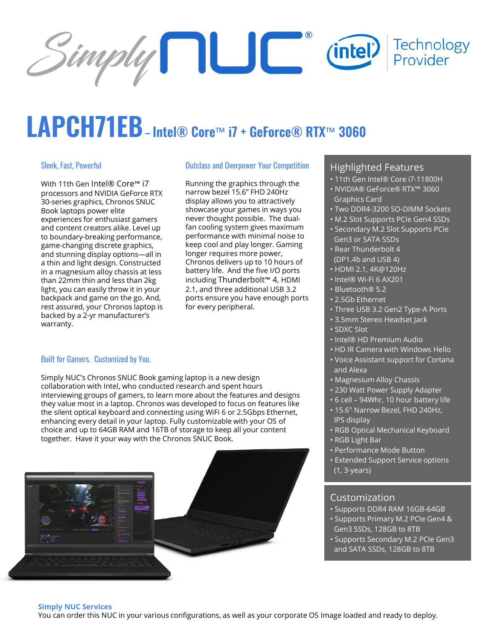

# **LAPCH71EB– Intel® Core**™ **i7 + GeForce® RTX**™ **<sup>3060</sup>**

#### Sleek, Fast, Powerful

With 11th Gen Intel® Core™ i7 processors and NVIDIA GeForce RTX 30-series graphics, Chronos SNUC Book laptops power elite experiences for enthusiast gamers and content creators alike. Level up to boundary-breaking performance, game-changing discrete graphics, and stunning display options—all in a thin and light design. Constructed in a magnesium alloy chassis at less than 22mm thin and less than 2kg light, you can easily throw it in your backpack and game on the go. And, rest assured, your Chronos laptop is backed by a 2-yr manufacturer's warranty.

#### Outclass and Overpower Your Competition

Running the graphics through the narrow bezel 15.6" FHD 240Hz display allows you to attractively showcase your games in ways you never thought possible. The dualfan cooling system gives maximum performance with minimal noise to keep cool and play longer. Gaming longer requires more power, Chronos delivers up to 10 hours of battery life. And the five I/O ports including Thunderbolt™ 4, HDMI 2.1, and three additional USB 3.2 ports ensure you have enough ports for every peripheral.

#### Built for Gamers. Customized by You.

Simply NUC's Chronos SNUC Book gaming laptop is a new design collaboration with Intel, who conducted research and spent hours interviewing groups of gamers, to learn more about the features and designs they value most in a laptop. Chronos was developed to focus on features like the silent optical keyboard and connecting using WiFi 6 or 2.5Gbps Ethernet, enhancing every detail in your laptop. Fully customizable with your OS of choice and up to 64GB RAM and 16TB of storage to keep all your content together. Have it your way with the Chronos SNUC Book.



#### Highlighted Features

- 11th Gen Intel® Core i7-11800H
- NVIDIA® GeForce® RTX™ 3060 Graphics Card
- Two DDR4-3200 SO-DIMM Sockets
- M.2 Slot Supports PCIe Gen4 SSDs
- Secondary M.2 Slot Supports PCIe Gen3 or SATA SSDs
- Rear Thunderbolt 4 (DP1.4b and USB 4)
- HDMI 2.1, 4K@120Hz
- Intel® Wi-Fi 6 AX201
- Bluetooth® 5.2
- 2.5Gb Ethernet
- Three USB 3.2 Gen2 Type-A Ports
- 3.5mm Stereo Headset Jack
- SDXC Slot
- Intel® HD Premium Audio
- HD IR Camera with Windows Hello
- Voice Assistant support for Cortana and Alexa
- Magnesium Alloy Chassis
- 230 Watt Power Supply Adapter
- 6 cell 94Whr, 10 hour battery life
	- 15.6" Narrow Bezel, FHD 240Hz, IPS display
	- RGB Optical Mechanical Keyboard
	- RGB Light Bar
	- Performance Mode Button
	- Extended Support Service options (1, 3-years)

#### Customization

- Supports DDR4 RAM 16GB-64GB
- Supports Primary M.2 PCIe Gen4 & Gen3 SSDs, 128GB to 8TB
- Supports Secondary M.2 PCIe Gen3 and SATA SSDs, 128GB to 8TB

#### **Simply NUC Services**

You can order this NUC in your various configurations, as well as your corporate OS Image loaded and ready to deploy.